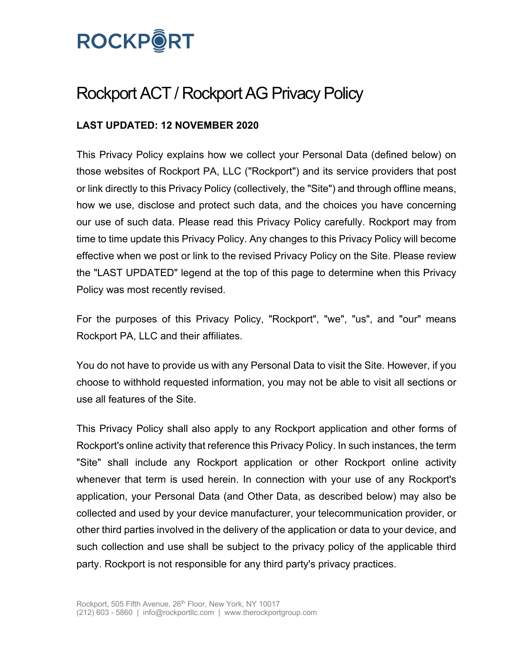# **ROCKPORT**

## Rockport ACT / Rockport AG Privacy Policy

### **LAST UPDATED: 12 NOVEMBER 2020**

This Privacy Policy explains how we collect your Personal Data (defined below) on those websites of Rockport PA, LLC ("Rockport") and its service providers that post or link directly to this Privacy Policy (collectively, the "Site") and through offline means, how we use, disclose and protect such data, and the choices you have concerning our use of such data. Please read this Privacy Policy carefully. Rockport may from time to time update this Privacy Policy. Any changes to this Privacy Policy will become effective when we post or link to the revised Privacy Policy on the Site. Please review the "LAST UPDATED" legend at the top of this page to determine when this Privacy Policy was most recently revised.

For the purposes of this Privacy Policy, "Rockport", "we", "us", and "our" means Rockport PA, LLC and their affiliates.

You do not have to provide us with any Personal Data to visit the Site. However, if you choose to withhold requested information, you may not be able to visit all sections or use all features of the Site.

This Privacy Policy shall also apply to any Rockport application and other forms of Rockport's online activity that reference this Privacy Policy. In such instances, the term "Site" shall include any Rockport application or other Rockport online activity whenever that term is used herein. In connection with your use of any Rockport's application, your Personal Data (and Other Data, as described below) may also be collected and used by your device manufacturer, your telecommunication provider, or other third parties involved in the delivery of the application or data to your device, and such collection and use shall be subject to the privacy policy of the applicable third party. Rockport is not responsible for any third party's privacy practices.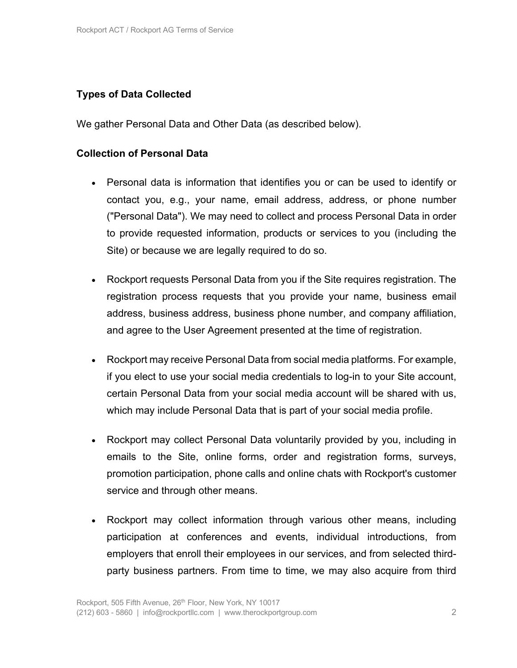#### **Types of Data Collected**

We gather Personal Data and Other Data (as described below).

#### **Collection of Personal Data**

- Personal data is information that identifies you or can be used to identify or contact you, e.g., your name, email address, address, or phone number ("Personal Data"). We may need to collect and process Personal Data in order to provide requested information, products or services to you (including the Site) or because we are legally required to do so.
- Rockport requests Personal Data from you if the Site requires registration. The registration process requests that you provide your name, business email address, business address, business phone number, and company affiliation, and agree to the User Agreement presented at the time of registration.
- Rockport may receive Personal Data from social media platforms. For example, if you elect to use your social media credentials to log-in to your Site account, certain Personal Data from your social media account will be shared with us, which may include Personal Data that is part of your social media profile.
- Rockport may collect Personal Data voluntarily provided by you, including in emails to the Site, online forms, order and registration forms, surveys, promotion participation, phone calls and online chats with Rockport's customer service and through other means.
- Rockport may collect information through various other means, including participation at conferences and events, individual introductions, from employers that enroll their employees in our services, and from selected thirdparty business partners. From time to time, we may also acquire from third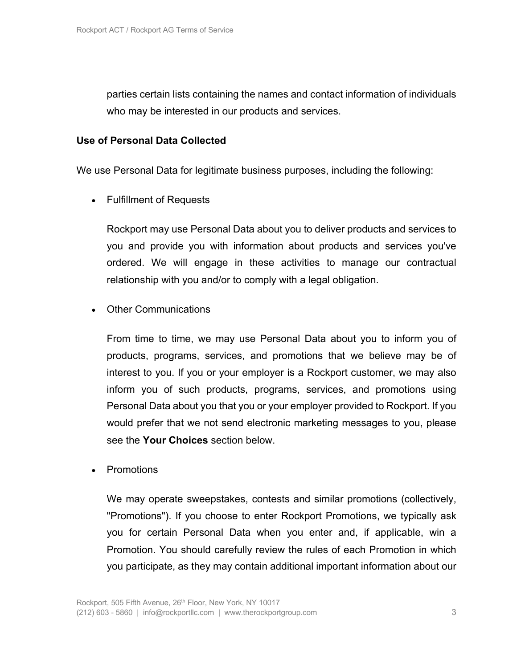parties certain lists containing the names and contact information of individuals who may be interested in our products and services.

#### **Use of Personal Data Collected**

We use Personal Data for legitimate business purposes, including the following:

• Fulfillment of Requests

Rockport may use Personal Data about you to deliver products and services to you and provide you with information about products and services you've ordered. We will engage in these activities to manage our contractual relationship with you and/or to comply with a legal obligation.

• Other Communications

From time to time, we may use Personal Data about you to inform you of products, programs, services, and promotions that we believe may be of interest to you. If you or your employer is a Rockport customer, we may also inform you of such products, programs, services, and promotions using Personal Data about you that you or your employer provided to Rockport. If you would prefer that we not send electronic marketing messages to you, please see the **Your Choices** section below.

**Promotions** 

We may operate sweepstakes, contests and similar promotions (collectively, "Promotions"). If you choose to enter Rockport Promotions, we typically ask you for certain Personal Data when you enter and, if applicable, win a Promotion. You should carefully review the rules of each Promotion in which you participate, as they may contain additional important information about our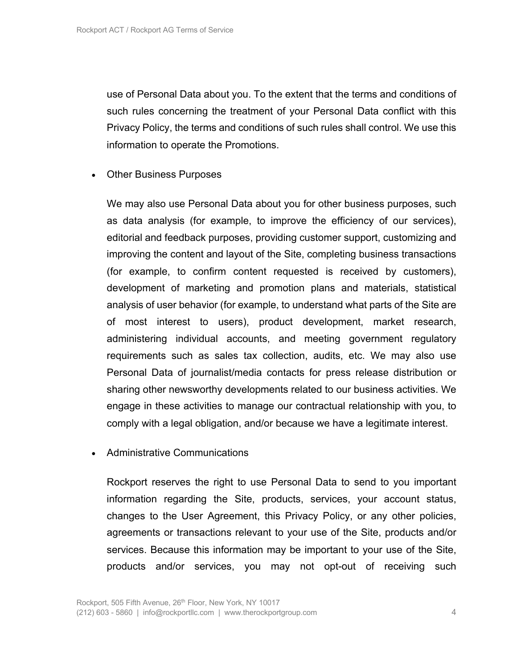use of Personal Data about you. To the extent that the terms and conditions of such rules concerning the treatment of your Personal Data conflict with this Privacy Policy, the terms and conditions of such rules shall control. We use this information to operate the Promotions.

• Other Business Purposes

We may also use Personal Data about you for other business purposes, such as data analysis (for example, to improve the efficiency of our services), editorial and feedback purposes, providing customer support, customizing and improving the content and layout of the Site, completing business transactions (for example, to confirm content requested is received by customers), development of marketing and promotion plans and materials, statistical analysis of user behavior (for example, to understand what parts of the Site are of most interest to users), product development, market research, administering individual accounts, and meeting government regulatory requirements such as sales tax collection, audits, etc. We may also use Personal Data of journalist/media contacts for press release distribution or sharing other newsworthy developments related to our business activities. We engage in these activities to manage our contractual relationship with you, to comply with a legal obligation, and/or because we have a legitimate interest.

• Administrative Communications

Rockport reserves the right to use Personal Data to send to you important information regarding the Site, products, services, your account status, changes to the User Agreement, this Privacy Policy, or any other policies, agreements or transactions relevant to your use of the Site, products and/or services. Because this information may be important to your use of the Site, products and/or services, you may not opt-out of receiving such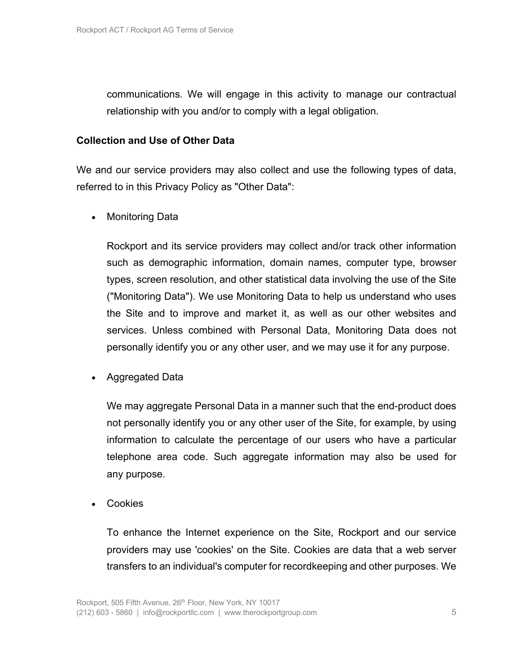communications. We will engage in this activity to manage our contractual relationship with you and/or to comply with a legal obligation.

#### **Collection and Use of Other Data**

We and our service providers may also collect and use the following types of data, referred to in this Privacy Policy as "Other Data":

• Monitoring Data

Rockport and its service providers may collect and/or track other information such as demographic information, domain names, computer type, browser types, screen resolution, and other statistical data involving the use of the Site ("Monitoring Data"). We use Monitoring Data to help us understand who uses the Site and to improve and market it, as well as our other websites and services. Unless combined with Personal Data, Monitoring Data does not personally identify you or any other user, and we may use it for any purpose.

• Aggregated Data

We may aggregate Personal Data in a manner such that the end-product does not personally identify you or any other user of the Site, for example, by using information to calculate the percentage of our users who have a particular telephone area code. Such aggregate information may also be used for any purpose.

• Cookies

To enhance the Internet experience on the Site, Rockport and our service providers may use 'cookies' on the Site. Cookies are data that a web server transfers to an individual's computer for recordkeeping and other purposes. We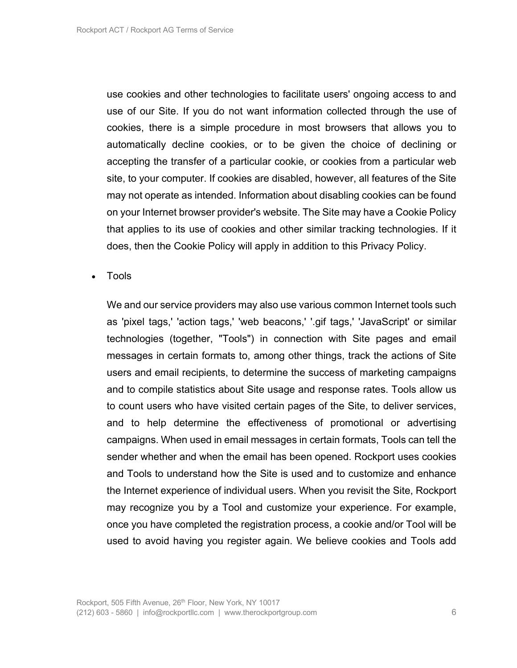use cookies and other technologies to facilitate users' ongoing access to and use of our Site. If you do not want information collected through the use of cookies, there is a simple procedure in most browsers that allows you to automatically decline cookies, or to be given the choice of declining or accepting the transfer of a particular cookie, or cookies from a particular web site, to your computer. If cookies are disabled, however, all features of the Site may not operate as intended. Information about disabling cookies can be found on your Internet browser provider's website. The Site may have a Cookie Policy that applies to its use of cookies and other similar tracking technologies. If it does, then the Cookie Policy will apply in addition to this Privacy Policy.

• Tools

We and our service providers may also use various common Internet tools such as 'pixel tags,' 'action tags,' 'web beacons,' '.gif tags,' 'JavaScript' or similar technologies (together, "Tools") in connection with Site pages and email messages in certain formats to, among other things, track the actions of Site users and email recipients, to determine the success of marketing campaigns and to compile statistics about Site usage and response rates. Tools allow us to count users who have visited certain pages of the Site, to deliver services, and to help determine the effectiveness of promotional or advertising campaigns. When used in email messages in certain formats, Tools can tell the sender whether and when the email has been opened. Rockport uses cookies and Tools to understand how the Site is used and to customize and enhance the Internet experience of individual users. When you revisit the Site, Rockport may recognize you by a Tool and customize your experience. For example, once you have completed the registration process, a cookie and/or Tool will be used to avoid having you register again. We believe cookies and Tools add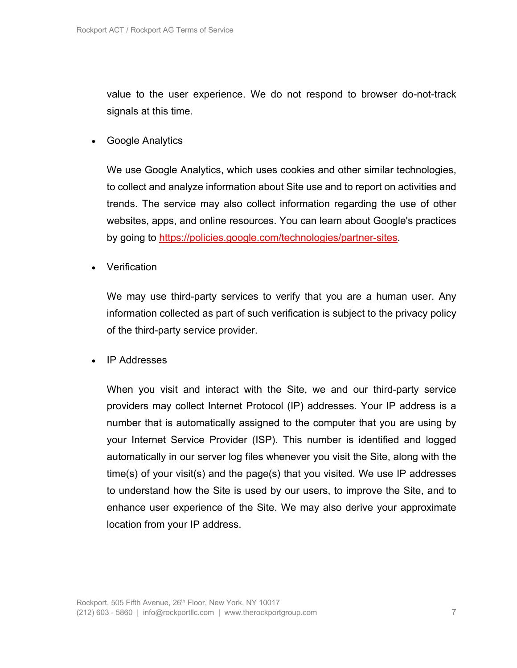value to the user experience. We do not respond to browser do-not-track signals at this time.

• Google Analytics

We use Google Analytics, which uses cookies and other similar technologies, to collect and analyze information about Site use and to report on activities and trends. The service may also collect information regarding the use of other websites, apps, and online resources. You can learn about Google's practices by going to https://policies.google.com/technologies/partner-sites.

• Verification

We may use third-party services to verify that you are a human user. Any information collected as part of such verification is subject to the privacy policy of the third-party service provider.

• IP Addresses

When you visit and interact with the Site, we and our third-party service providers may collect Internet Protocol (IP) addresses. Your IP address is a number that is automatically assigned to the computer that you are using by your Internet Service Provider (ISP). This number is identified and logged automatically in our server log files whenever you visit the Site, along with the time(s) of your visit(s) and the page(s) that you visited. We use IP addresses to understand how the Site is used by our users, to improve the Site, and to enhance user experience of the Site. We may also derive your approximate location from your IP address.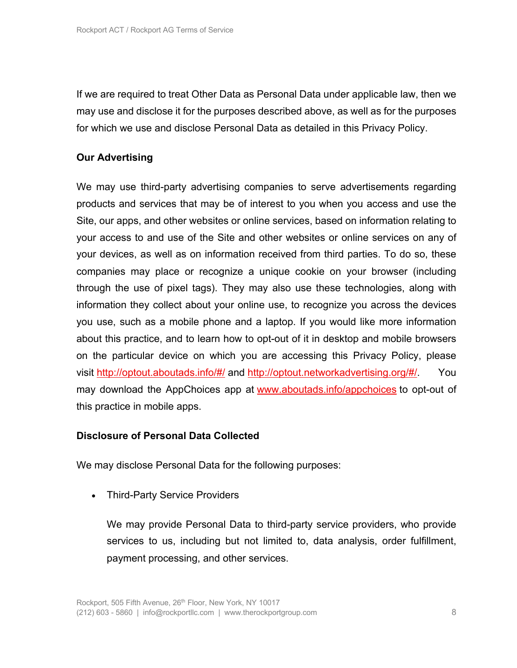If we are required to treat Other Data as Personal Data under applicable law, then we may use and disclose it for the purposes described above, as well as for the purposes for which we use and disclose Personal Data as detailed in this Privacy Policy.

#### **Our Advertising**

We may use third-party advertising companies to serve advertisements regarding products and services that may be of interest to you when you access and use the Site, our apps, and other websites or online services, based on information relating to your access to and use of the Site and other websites or online services on any of your devices, as well as on information received from third parties. To do so, these companies may place or recognize a unique cookie on your browser (including through the use of pixel tags). They may also use these technologies, along with information they collect about your online use, to recognize you across the devices you use, such as a mobile phone and a laptop. If you would like more information about this practice, and to learn how to opt-out of it in desktop and mobile browsers on the particular device on which you are accessing this Privacy Policy, please visit http://optout.aboutads.info/#/ and http://optout.networkadvertising.org/#/. You may download the AppChoices app at www.aboutads.info/appchoices to opt-out of this practice in mobile apps.

#### **Disclosure of Personal Data Collected**

We may disclose Personal Data for the following purposes:

• Third-Party Service Providers

We may provide Personal Data to third-party service providers, who provide services to us, including but not limited to, data analysis, order fulfillment, payment processing, and other services.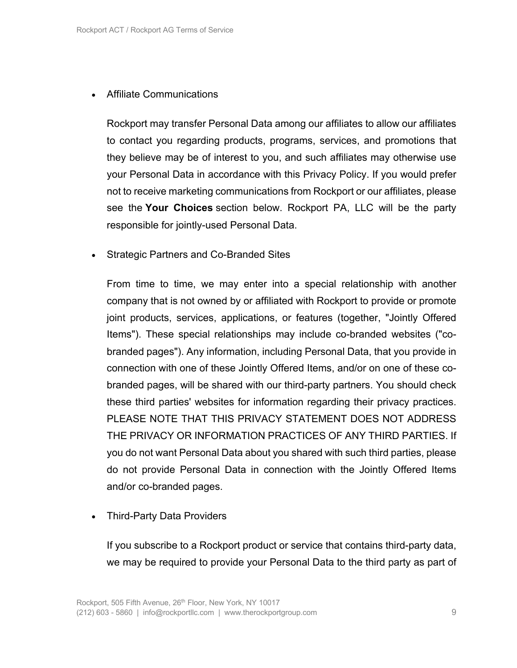#### • Affiliate Communications

Rockport may transfer Personal Data among our affiliates to allow our affiliates to contact you regarding products, programs, services, and promotions that they believe may be of interest to you, and such affiliates may otherwise use your Personal Data in accordance with this Privacy Policy. If you would prefer not to receive marketing communications from Rockport or our affiliates, please see the **Your Choices** section below. Rockport PA, LLC will be the party responsible for jointly-used Personal Data.

• Strategic Partners and Co-Branded Sites

From time to time, we may enter into a special relationship with another company that is not owned by or affiliated with Rockport to provide or promote joint products, services, applications, or features (together, "Jointly Offered Items"). These special relationships may include co-branded websites ("cobranded pages"). Any information, including Personal Data, that you provide in connection with one of these Jointly Offered Items, and/or on one of these cobranded pages, will be shared with our third-party partners. You should check these third parties' websites for information regarding their privacy practices. PLEASE NOTE THAT THIS PRIVACY STATEMENT DOES NOT ADDRESS THE PRIVACY OR INFORMATION PRACTICES OF ANY THIRD PARTIES. If you do not want Personal Data about you shared with such third parties, please do not provide Personal Data in connection with the Jointly Offered Items and/or co-branded pages.

• Third-Party Data Providers

If you subscribe to a Rockport product or service that contains third-party data, we may be required to provide your Personal Data to the third party as part of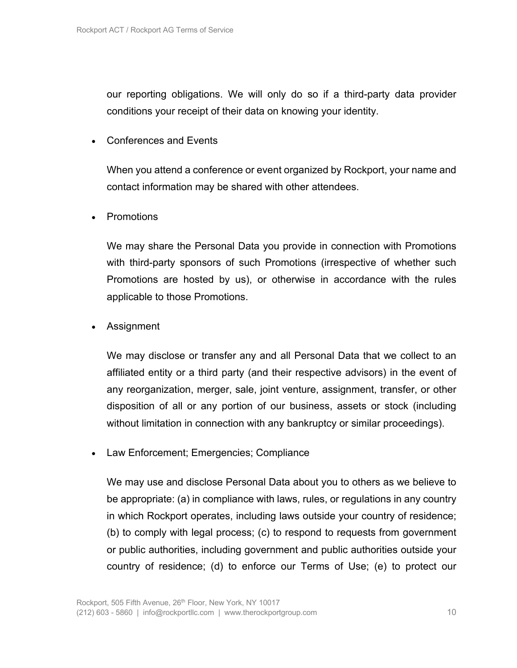our reporting obligations. We will only do so if a third-party data provider conditions your receipt of their data on knowing your identity.

• Conferences and Events

When you attend a conference or event organized by Rockport, your name and contact information may be shared with other attendees.

• Promotions

We may share the Personal Data you provide in connection with Promotions with third-party sponsors of such Promotions (irrespective of whether such Promotions are hosted by us), or otherwise in accordance with the rules applicable to those Promotions.

• Assignment

We may disclose or transfer any and all Personal Data that we collect to an affiliated entity or a third party (and their respective advisors) in the event of any reorganization, merger, sale, joint venture, assignment, transfer, or other disposition of all or any portion of our business, assets or stock (including without limitation in connection with any bankruptcy or similar proceedings).

• Law Enforcement; Emergencies; Compliance

We may use and disclose Personal Data about you to others as we believe to be appropriate: (a) in compliance with laws, rules, or regulations in any country in which Rockport operates, including laws outside your country of residence; (b) to comply with legal process; (c) to respond to requests from government or public authorities, including government and public authorities outside your country of residence; (d) to enforce our Terms of Use; (e) to protect our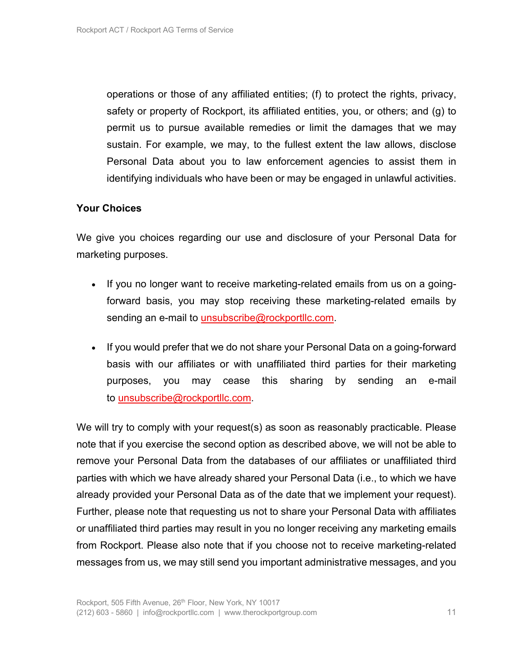operations or those of any affiliated entities; (f) to protect the rights, privacy, safety or property of Rockport, its affiliated entities, you, or others; and (g) to permit us to pursue available remedies or limit the damages that we may sustain. For example, we may, to the fullest extent the law allows, disclose Personal Data about you to law enforcement agencies to assist them in identifying individuals who have been or may be engaged in unlawful activities.

#### **Your Choices**

We give you choices regarding our use and disclosure of your Personal Data for marketing purposes.

- If you no longer want to receive marketing-related emails from us on a goingforward basis, you may stop receiving these marketing-related emails by sending an e-mail to unsubscribe@rockportllc.com.
- If you would prefer that we do not share your Personal Data on a going-forward basis with our affiliates or with unaffiliated third parties for their marketing purposes, you may cease this sharing by sending an e-mail to unsubscribe@rockportllc.com.

We will try to comply with your request(s) as soon as reasonably practicable. Please note that if you exercise the second option as described above, we will not be able to remove your Personal Data from the databases of our affiliates or unaffiliated third parties with which we have already shared your Personal Data (i.e., to which we have already provided your Personal Data as of the date that we implement your request). Further, please note that requesting us not to share your Personal Data with affiliates or unaffiliated third parties may result in you no longer receiving any marketing emails from Rockport. Please also note that if you choose not to receive marketing-related messages from us, we may still send you important administrative messages, and you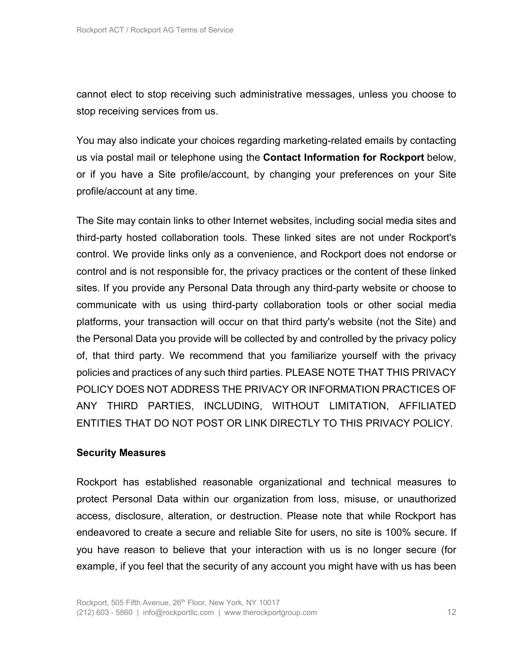cannot elect to stop receiving such administrative messages, unless you choose to stop receiving services from us.

You may also indicate your choices regarding marketing-related emails by contacting us via postal mail or telephone using the **Contact Information for Rockport** below, or if you have a Site profile/account, by changing your preferences on your Site profile/account at any time.

The Site may contain links to other Internet websites, including social media sites and third-party hosted collaboration tools. These linked sites are not under Rockport's control. We provide links only as a convenience, and Rockport does not endorse or control and is not responsible for, the privacy practices or the content of these linked sites. If you provide any Personal Data through any third-party website or choose to communicate with us using third-party collaboration tools or other social media platforms, your transaction will occur on that third party's website (not the Site) and the Personal Data you provide will be collected by and controlled by the privacy policy of, that third party. We recommend that you familiarize yourself with the privacy policies and practices of any such third parties. PLEASE NOTE THAT THIS PRIVACY POLICY DOES NOT ADDRESS THE PRIVACY OR INFORMATION PRACTICES OF ANY THIRD PARTIES, INCLUDING, WITHOUT LIMITATION, AFFILIATED ENTITIES THAT DO NOT POST OR LINK DIRECTLY TO THIS PRIVACY POLICY.

#### **Security Measures**

Rockport has established reasonable organizational and technical measures to protect Personal Data within our organization from loss, misuse, or unauthorized access, disclosure, alteration, or destruction. Please note that while Rockport has endeavored to create a secure and reliable Site for users, no site is 100% secure. If you have reason to believe that your interaction with us is no longer secure (for example, if you feel that the security of any account you might have with us has been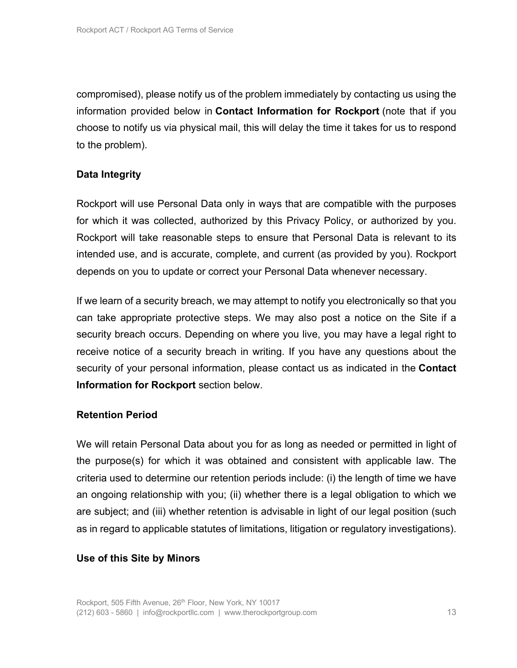compromised), please notify us of the problem immediately by contacting us using the information provided below in **Contact Information for Rockport** (note that if you choose to notify us via physical mail, this will delay the time it takes for us to respond to the problem).

#### **Data Integrity**

Rockport will use Personal Data only in ways that are compatible with the purposes for which it was collected, authorized by this Privacy Policy, or authorized by you. Rockport will take reasonable steps to ensure that Personal Data is relevant to its intended use, and is accurate, complete, and current (as provided by you). Rockport depends on you to update or correct your Personal Data whenever necessary.

If we learn of a security breach, we may attempt to notify you electronically so that you can take appropriate protective steps. We may also post a notice on the Site if a security breach occurs. Depending on where you live, you may have a legal right to receive notice of a security breach in writing. If you have any questions about the security of your personal information, please contact us as indicated in the **Contact Information for Rockport** section below.

#### **Retention Period**

We will retain Personal Data about you for as long as needed or permitted in light of the purpose(s) for which it was obtained and consistent with applicable law. The criteria used to determine our retention periods include: (i) the length of time we have an ongoing relationship with you; (ii) whether there is a legal obligation to which we are subject; and (iii) whether retention is advisable in light of our legal position (such as in regard to applicable statutes of limitations, litigation or regulatory investigations).

#### **Use of this Site by Minors**